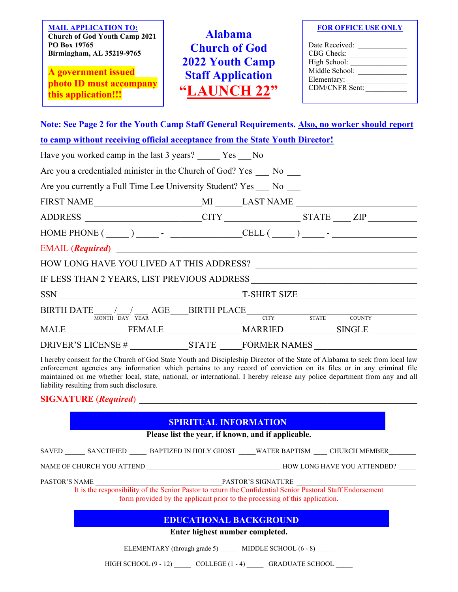**MAIL APPLICATION TO: Church of God Youth Camp 2021 PO Box 19765 Birmingham, AL 35219-9765**

**A government issued photo ID must accompany this application!!!**

**Alabama Church of God 2022 Youth Camp Staff Application "LAUNCH 22"**

**FOR OFFICE USE ONLY**

| Date Received:        |  |
|-----------------------|--|
| CBG Check:            |  |
| High School:          |  |
| Middle School:        |  |
| Elementary:           |  |
| <b>CDM/CNFR Sent:</b> |  |
|                       |  |

**Note: See Page 2 for the Youth Camp Staff General Requirements. Also, no worker should report** 

| to camp without receiving official acceptance from the State Youth Director! |                                                                                                                                                                                                                            |
|------------------------------------------------------------------------------|----------------------------------------------------------------------------------------------------------------------------------------------------------------------------------------------------------------------------|
| Have you worked camp in the last 3 years? ______ Yes ____ No                 |                                                                                                                                                                                                                            |
| Are you a credentialed minister in the Church of God? Yes No                 |                                                                                                                                                                                                                            |
| Are you currently a Full Time Lee University Student? Yes No                 |                                                                                                                                                                                                                            |
|                                                                              |                                                                                                                                                                                                                            |
|                                                                              | ADDRESS _____________________CITY ________________STATE ____ ZIP ________________                                                                                                                                          |
|                                                                              | HOME PHONE $(\_\_)$ - $\_\_$ - CELL $(\_\_)$ - $\_\_$ -                                                                                                                                                                    |
| EMAIL (Required)                                                             |                                                                                                                                                                                                                            |
|                                                                              |                                                                                                                                                                                                                            |
|                                                                              |                                                                                                                                                                                                                            |
|                                                                              |                                                                                                                                                                                                                            |
|                                                                              | $\text{BIRTH}\ \text{DATE}_{\overline{\text{MONTH}}}\ /\text{�} \text{ \underline{AGE}} \text{ \underline{AGE}} \text{ \underline{BIRTH}\ PLACE}_{\overline{\text{CITY}}} \text{ \underline{AGE}} \text{ \underline{AGE}}$ |
|                                                                              | MALE FEMALE MARRIED SINGLE                                                                                                                                                                                                 |
|                                                                              |                                                                                                                                                                                                                            |

I hereby consent for the Church of God State Youth and Discipleship Director of the State of Alabama to seek from local law enforcement agencies any information which pertains to any record of conviction on its files or in any criminal file maintained on me whether local, state, national, or international. I hereby release any police department from any and all liability resulting from such disclosure.

#### **SIGNATURE** (*Required*)

#### **SPIRITUAL INFORMATION**

**Please list the year, if known, and if applicable.**

| SAVED | <b>SANCTIFIED</b> | BAPTIZED IN HOLY GHOST | WATER BAPTISM | <b>CHURCH MEMBER</b> |
|-------|-------------------|------------------------|---------------|----------------------|
|       |                   |                        |               |                      |

NAME OF CHURCH YOU ATTEND  $\hfill\blacksquare$ 

PASTOR'S NAME \_\_\_\_\_\_\_\_\_\_\_\_\_\_\_\_\_\_\_\_\_\_\_\_\_\_\_\_\_\_\_\_\_\_\_\_\_PASTOR'S SIGNATURE \_\_\_\_\_\_\_\_\_\_\_\_\_\_\_\_\_\_\_\_\_\_\_\_\_\_\_\_\_\_\_\_\_\_\_

It is the responsibility of the Senior Pastor to return the Confidential Senior Pastoral Staff Endorsement form provided by the applicant prior to the processing of this application.

### **EDUCATIONAL BACKGROUND**

**Enter highest number completed.**

ELEMENTARY (through grade 5) \_\_\_\_\_\_ MIDDLE SCHOOL (6 - 8) \_\_\_\_\_

HIGH SCHOOL  $(9 - 12)$  COLLEGE  $(1 - 4)$  GRADUATE SCHOOL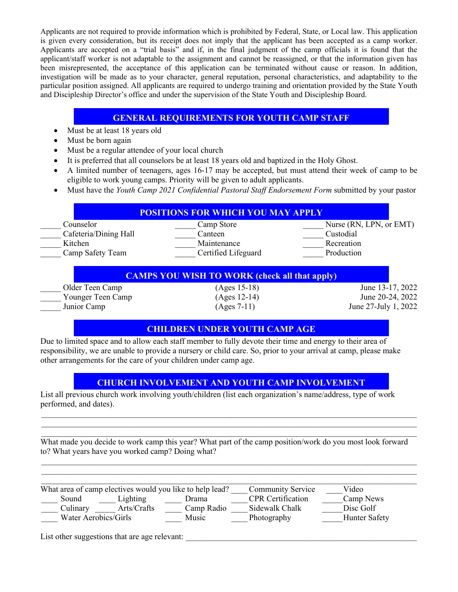Applicants are not required to provide information which is prohibited by Federal, State, or Local law. This application is given every consideration, but its receipt does not imply that the applicant has been accepted as a camp worker. Applicants are accepted on a "trial basis" and if, in the final judgment of the camp officials it is found that the applicant/staff worker is not adaptable to the assignment and cannot be reassigned, or that the information given has been misrepresented, the acceptance of this application can be terminated without cause or reason. In addition, investigation will be made as to your character, general reputation, personal characteristics, and adaptability to the particular position assigned. All applicants are required to undergo training and orientation provided by the State Youth and Discipleship Director's office and under the supervision of the State Youth and Discipleship Board.

### **GENERAL REQUIREMENTS FOR YOUTH CAMP STAFF**

- Must be at least 18 years old
- Must be born again
- Must be a regular attendee of your local church
- It is preferred that all counselors be at least 18 years old and baptized in the Holy Ghost.
- A limited number of teenagers, ages 16-17 may be accepted, but must attend their week of camp to be eligible to work young camps. Priority will be given to adult applicants.
- Must have the *Youth Camp 2021 Confidential Pastoral Staff Endorsement Form* submitted by your pastor

| Counselor             | Camp Store          | Nurse (RN, LPN, or EMT) |
|-----------------------|---------------------|-------------------------|
| Cafeteria/Dining Hall | Canteen             | Custodial               |
| Kitchen               | Maintenance         | Recreation              |
| Camp Safety Team      | Certified Lifeguard | Production              |

#### **CAMPS YOU WISH TO WORK (check all that apply)**

Older Teen Camp (Ages 15-18) June 13-17, 2022 Younger Teen Camp (Ages 12-14) June 20-24, 2022<br>Junior Camp (Ages 7-11) June 27-July 1, 2022

\_\_\_\_\_ Junior Camp (Ages 7-11) June 27-July 1, 2022

### **CHILDREN UNDER YOUTH CAMP AGE**

Due to limited space and to allow each staff member to fully devote their time and energy to their area of responsibility, we are unable to provide a nursery or child care. So, prior to your arrival at camp, please make other arrangements for the care of your children under camp age.

# **CHURCH INVOLVEMENT AND YOUTH CAMP INVOLVEMENT**

 $\mathcal{L}_\mathcal{L} = \mathcal{L}_\mathcal{L} = \mathcal{L}_\mathcal{L} = \mathcal{L}_\mathcal{L} = \mathcal{L}_\mathcal{L} = \mathcal{L}_\mathcal{L} = \mathcal{L}_\mathcal{L} = \mathcal{L}_\mathcal{L} = \mathcal{L}_\mathcal{L} = \mathcal{L}_\mathcal{L} = \mathcal{L}_\mathcal{L} = \mathcal{L}_\mathcal{L} = \mathcal{L}_\mathcal{L} = \mathcal{L}_\mathcal{L} = \mathcal{L}_\mathcal{L} = \mathcal{L}_\mathcal{L} = \mathcal{L}_\mathcal{L}$  $\mathcal{L}_\mathcal{L} = \mathcal{L}_\mathcal{L} = \mathcal{L}_\mathcal{L} = \mathcal{L}_\mathcal{L} = \mathcal{L}_\mathcal{L} = \mathcal{L}_\mathcal{L} = \mathcal{L}_\mathcal{L} = \mathcal{L}_\mathcal{L} = \mathcal{L}_\mathcal{L} = \mathcal{L}_\mathcal{L} = \mathcal{L}_\mathcal{L} = \mathcal{L}_\mathcal{L} = \mathcal{L}_\mathcal{L} = \mathcal{L}_\mathcal{L} = \mathcal{L}_\mathcal{L} = \mathcal{L}_\mathcal{L} = \mathcal{L}_\mathcal{L}$  $\mathcal{L}_\mathcal{L} = \mathcal{L}_\mathcal{L} = \mathcal{L}_\mathcal{L} = \mathcal{L}_\mathcal{L} = \mathcal{L}_\mathcal{L} = \mathcal{L}_\mathcal{L} = \mathcal{L}_\mathcal{L} = \mathcal{L}_\mathcal{L} = \mathcal{L}_\mathcal{L} = \mathcal{L}_\mathcal{L} = \mathcal{L}_\mathcal{L} = \mathcal{L}_\mathcal{L} = \mathcal{L}_\mathcal{L} = \mathcal{L}_\mathcal{L} = \mathcal{L}_\mathcal{L} = \mathcal{L}_\mathcal{L} = \mathcal{L}_\mathcal{L}$ 

List all previous church work involving youth/children (list each organization's name/address, type of work performed, and dates).

What made you decide to work camp this year? What part of the camp position/work do you most look forward to? What years have you worked camp? Doing what?

 $\mathcal{L}_\mathcal{L} = \mathcal{L}_\mathcal{L} = \mathcal{L}_\mathcal{L} = \mathcal{L}_\mathcal{L} = \mathcal{L}_\mathcal{L} = \mathcal{L}_\mathcal{L} = \mathcal{L}_\mathcal{L} = \mathcal{L}_\mathcal{L} = \mathcal{L}_\mathcal{L} = \mathcal{L}_\mathcal{L} = \mathcal{L}_\mathcal{L} = \mathcal{L}_\mathcal{L} = \mathcal{L}_\mathcal{L} = \mathcal{L}_\mathcal{L} = \mathcal{L}_\mathcal{L} = \mathcal{L}_\mathcal{L} = \mathcal{L}_\mathcal{L}$  $\_$  ,  $\_$  ,  $\_$  ,  $\_$  ,  $\_$  ,  $\_$  ,  $\_$  ,  $\_$  ,  $\_$  ,  $\_$  ,  $\_$  ,  $\_$  ,  $\_$  ,  $\_$  ,  $\_$  ,  $\_$  ,  $\_$  ,  $\_$  ,  $\_$  ,  $\_$  ,  $\_$  ,  $\_$  ,  $\_$  ,  $\_$  ,  $\_$  ,  $\_$  ,  $\_$  ,  $\_$  ,  $\_$  ,  $\_$  ,  $\_$  ,  $\_$  ,  $\_$  ,  $\_$  ,  $\_$  ,  $\_$  ,  $\_$  ,

|                      |             | What area of camp electives would you like to help lead? | <b>Community Service</b> | Video                |
|----------------------|-------------|----------------------------------------------------------|--------------------------|----------------------|
| Sound                | Lighting    | Drama                                                    | <b>CPR</b> Certification | Camp News            |
| Culinary             | Arts/Crafts | Camp Radio                                               | Sidewalk Chalk           | Disc Golf            |
| Water Aerobics/Girls |             | Music                                                    | Photography              | <b>Hunter Safety</b> |

List other suggestions that are age relevant: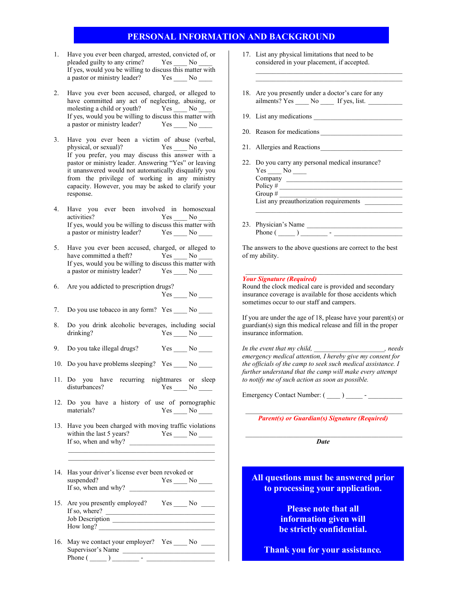#### **PERSONAL INFORMATION AND BACKGROUND**

- 1. Have you ever been charged, arrested, convicted of, or pleaded guilty to any crime? Yes No If yes, would you be willing to discuss this matter with a pastor or ministry leader? Yes \_\_\_\_ No \_\_\_\_
- 2. Have you ever been accused, charged, or alleged to have committed any act of neglecting, abusing, or molesting a child or youth? Yes No If yes, would you be willing to discuss this matter with a pastor or ministry leader? Yes No
- Have you ever been a victim of abuse (verbal, physical, or sexual)? Yes \_\_\_\_\_ No \_ If you prefer, you may discuss this answer with a pastor or ministry leader. Answering "Yes" or leaving it unanswered would not automatically disqualify you from the privilege of working in any ministry capacity. However, you may be asked to clarify your response.
- 4. Have you ever been involved in homosexual activities? Yes \_\_\_\_ No \_\_ If yes, would you be willing to discuss this matter with a pastor or ministry leader? Yes \_\_\_\_ No \_\_\_\_
- 5. Have you ever been accused, charged, or alleged to have committed a theft? Yes No have committed a theft? If yes, would you be willing to discuss this matter with a pastor or ministry leader? Yes \_\_\_\_ No \_\_\_\_
- 6. Are you addicted to prescription drugs? Yes \_\_\_\_ No \_\_\_\_
- 7. Do you use tobacco in any form? Yes \_\_\_\_ No \_\_\_\_
- 8. Do you drink alcoholic beverages, including social drinking? Yes No
- 9. Do you take illegal drugs? Yes \_\_\_\_ No \_\_\_\_
- 10. Do you have problems sleeping? Yes No
- 11. Do you have recurring nightmares or sleep disturbances? Yes No \_\_\_\_\_ No \_\_\_\_\_
- 12. Do you have a history of use of pornographic materials? Yes No \_\_\_\_\_ No \_\_\_\_\_
- 13. Have you been charged with moving traffic violations within the last 5 years? Yes \_\_\_\_ No \_\_\_\_ If so, when and why? \_\_\_\_\_\_\_\_\_\_\_\_\_\_\_\_\_\_\_\_\_\_\_\_\_

 $\mathcal{L}_\text{max}$  , and the set of the set of the set of the set of the set of the set of the set of the set of the set of the set of the set of the set of the set of the set of the set of the set of the set of the set of the  $\mathcal{L}_\text{max}$  , and the set of the set of the set of the set of the set of the set of the set of the set of the set of the set of the set of the set of the set of the set of the set of the set of the set of the set of the

- 14. Has your driver's license ever been revoked or suspended? Yes \_\_\_\_ No \_\_\_\_ If so, when and why? \_\_\_\_\_\_\_\_\_\_\_\_\_\_\_\_\_\_\_\_\_\_\_\_\_
- 15. Are you presently employed? Yes \_\_\_\_ No \_\_\_\_ If so, where?  $\qquad \qquad$ Job Description \_\_\_\_\_\_\_\_\_\_\_\_\_\_\_\_\_\_\_\_\_\_\_\_\_\_\_\_\_\_ How long?
- 16. May we contact your employer? Yes \_\_\_\_ No \_\_\_\_ Supervisor's Name Phone ( \_\_\_\_\_ ) \_\_\_\_\_\_\_\_ - \_\_\_\_\_\_\_\_\_\_\_\_\_\_\_\_\_\_\_\_
- 17. List any physical limitations that need to be considered in your placement, if accepted.
- 18. Are you presently under a doctor's care for any  $a$ ilments? Yes  $\_\_\_\$  No  $\_\_\_\$  If yes, list.
- 19. List any medications

\_\_\_\_\_\_\_\_\_\_\_\_\_\_\_\_\_\_\_\_\_\_\_\_\_\_\_\_\_\_\_\_\_\_\_\_\_\_\_\_\_\_\_

- 20. Reason for medications
- 21. Allergies and Reactions
- 22. Do you carry any personal medical insurance?  $Yes \_\_No \_\_$ Company

| Policy #                               |  |
|----------------------------------------|--|
| Group $#$                              |  |
| List any preauthorization requirements |  |

\_\_\_\_\_\_\_\_\_\_\_\_\_\_\_\_\_\_\_\_\_\_\_\_\_\_\_\_\_\_\_\_\_\_\_\_\_\_\_\_\_\_\_

23. Physician's Name Phone  $(\_\_)$   $\_\_$  -

The answers to the above questions are correct to the best of my ability.

#### *Your Signature (Required)*

Round the clock medical care is provided and secondary insurance coverage is available for those accidents which sometimes occur to our staff and campers.

If you are under the age of 18, please have your parent(s) or guardian(s) sign this medical release and fill in the proper insurance information.

*In the event that my child, \_\_\_\_\_\_\_\_\_\_\_\_\_\_\_\_\_\_\_\_\_, needs emergency medical attention, I hereby give my consent for the officials of the camp to seek such medical assistance. I further understand that the camp will make every attempt to notify me of such action as soon as possible.*

Emergency Contact Number:  $($ 

\_\_\_\_\_\_\_\_\_\_\_\_\_\_\_\_\_\_\_\_\_\_\_\_\_\_\_\_\_\_\_\_\_\_\_\_\_\_\_\_\_\_\_\_\_\_ *Parent(s) or Guardian(s) Signature (Required)*

\_\_\_\_\_\_\_\_\_\_\_\_\_\_\_\_\_\_\_\_\_\_\_\_\_\_\_\_\_\_\_\_\_\_\_\_\_\_\_\_\_\_\_\_\_\_ *Date*

**All questions must be answered prior to processing your application.**

> **Please note that all information given will be strictly confidential.**

**Thank you for your assistance***.*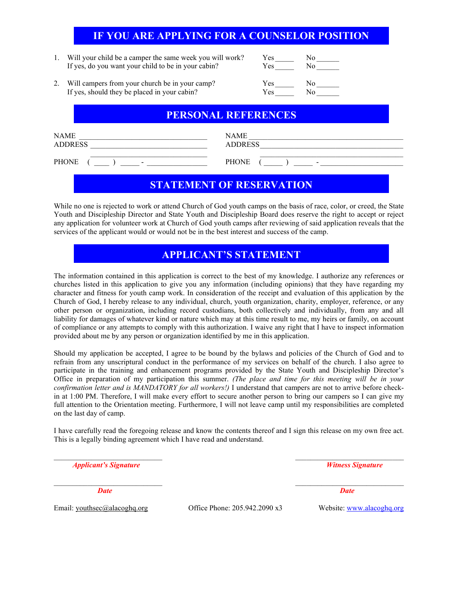# **IF YOU ARE APPLYING FOR A COUNSELOR POSITION**

1. Will your child be a camper the same week you will work? Yes Left ves do you want your child to be in your cabin? If yes, do you want your child to be in your cabin?

| $\epsilon$ s | No |
|--------------|----|
| es           | No |
| $\epsilon$ s | No |

2. Will campers from your church be in your camp? Y If yes, should they be placed in your cabin? Yes No

### **PERSONAL REFERENCES**

| <b>NAME</b>              | <b>NAME</b>              |
|--------------------------|--------------------------|
| <b>ADDRESS</b>           | <b>ADDRESS</b>           |
| <b>PHONE</b>             | <b>PHONE</b>             |
| $\overline{\phantom{0}}$ | $\overline{\phantom{0}}$ |

# **STATEMENT OF RESERVATION**

While no one is rejected to work or attend Church of God youth camps on the basis of race, color, or creed, the State Youth and Discipleship Director and State Youth and Discipleship Board does reserve the right to accept or reject any application for volunteer work at Church of God youth camps after reviewing of said application reveals that the services of the applicant would or would not be in the best interest and success of the camp.

# **APPLICANT'S STATEMENT**

The information contained in this application is correct to the best of my knowledge. I authorize any references or churches listed in this application to give you any information (including opinions) that they have regarding my character and fitness for youth camp work. In consideration of the receipt and evaluation of this application by the Church of God, I hereby release to any individual, church, youth organization, charity, employer, reference, or any other person or organization, including record custodians, both collectively and individually, from any and all liability for damages of whatever kind or nature which may at this time result to me, my heirs or family, on account of compliance or any attempts to comply with this authorization. I waive any right that I have to inspect information provided about me by any person or organization identified by me in this application.

Should my application be accepted, I agree to be bound by the bylaws and policies of the Church of God and to refrain from any unscriptural conduct in the performance of my services on behalf of the church. I also agree to participate in the training and enhancement programs provided by the State Youth and Discipleship Director's Office in preparation of my participation this summer. *(The place and time for this meeting will be in your confirmation letter and is MANDATORY for all workers!)* I understand that campers are not to arrive before checkin at 1:00 PM. Therefore, I will make every effort to secure another person to bring our campers so I can give my full attention to the Orientation meeting. Furthermore, I will not leave camp until my responsibilities are completed on the last day of camp.

I have carefully read the foregoing release and know the contents thereof and I sign this release on my own free act. This is a legally binding agreement which I have read and understand.

*Applicant's Signature Witness Signature* 

 $\_$  , and the set of the set of the set of the set of the set of the set of the set of the set of the set of the set of the set of the set of the set of the set of the set of the set of the set of the set of the set of th

 $\mathcal{L}_\text{max}$  , and the contribution of the contribution of the contribution of the contribution of the contribution of the contribution of the contribution of the contribution of the contribution of the contribution of t *Date Date* 

Email: youthsec@alacoghq.org 0ffice Phone: 205.942.2090 x3 Website: [www.alacoghq.org](http://www.alacoghq.org/)